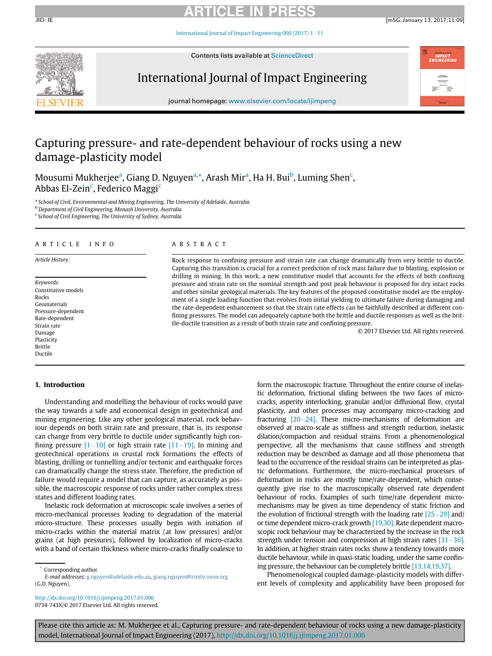### ARTICLE IN PRESS

JID: IE [m5G;January 13, 2017;11:09]

International Journal of Impact Engineering 000 (2017)  $1-11$ 



Contents lists available at ScienceDirect

### International Journal of Impact Engineering



journal homepage: [www.elsevier.com/locate/ijimpeng](http://www.elsevier.com/locate/ijimpeng)

### Capturing pressure- and rate-dependent behaviour of rocks using a new damage-plasticity model

Mousumi Mukherjee<sup>[a](#page-0-0)</sup>, Giang D. Nguyen<sup>a,</sup>\*, A[ra](#page-0-0)sh Mir<sup>a</sup>, Ha H. Bui<sup>[b](#page-0-1)</sup>, Luming Shen<sup>[c](#page-0-2)</sup>, Abbas El-Zein<sup>[c](#page-0-2)</sup>, Federico Maggi<sup>c</sup>

<span id="page-0-0"></span><sup>a</sup> School of Civil, Environmental and Mining Engineering, The University of Adelaide, Australia

<span id="page-0-1"></span><sup>b</sup> Department of Civil Engineering, Monash University, Australia

<span id="page-0-2"></span><sup>c</sup> School of Civil Engineering, The University of Sydney, Australia

#### ARTICLE INFO

#### Article History:

Keywords: Constitutive models Rocks Geomaterials Pressure-dependent Rate-dependent Strain rate Damage Plasticity Brittle Ductile

#### 1. Introduction

Understanding and modelling the behaviour of rocks would pave the way towards a safe and economical design in geotechnical and mining engineering. Like any other geological material, rock behaviour depends on both strain rate and pressure, that is, its response can change from very brittle to ductile under significantly high confining pressure  $[1-10]$  $[1-10]$  or high strain rate  $[11-19]$ . In mining and geotechnical operations in crustal rock formations the effects of blasting, drilling or tunnelling and/or tectonic and earthquake forces can dramatically change the stress state. Therefore, the prediction of failure would require a model that can capture, as accurately as possible, the macroscopic response of rocks under rather complex stress states and different loading rates.

Inelastic rock deformation at microscopic scale involves a series of micro-mechanical processes leading to degradation of the material micro-structure. These processes usually begin with initiation of micro-cracks within the material matrix (at low pressures) and/or grains (at high pressures), followed by localization of micro-cracks with a band of certain thickness where micro-cracks finally coalesce to

<http://dx.doi.org/10.1016/j.ijimpeng.2017.01.006> 0734-743X/© 2017 Elsevier Ltd. All rights reserved.

#### ABSTRACT

Rock response to confining pressure and strain rate can change dramatically from very brittle to ductile. Capturing this transition is crucial for a correct prediction of rock mass failure due to blasting, explosion or drilling in mining. In this work, a new constitutive model that accounts for the effects of both confining pressure and strain rate on the nominal strength and post peak behaviour is proposed for dry intact rocks and other similar geological materials. The key features of the proposed constitutive model are the employment of a single loading function that evolves from initial yielding to ultimate failure during damaging and the rate-dependent enhancement so that the strain rate effects can be faithfully described at different confining pressures. The model can adequately capture both the brittle and ductile responses as well as the brittle-ductile transition as a result of both strain rate and confining pressure.

© 2017 Elsevier Ltd. All rights reserved.

form the macroscopic fracture. Throughout the entire course of inelastic deformation, frictional sliding between the two faces of microcracks, asperity interlocking, granular and/or diffusional flow, crystal plasticity, and other processes may accompany micro-cracking and fracturing  $[20-24]$ . These micro-mechanisms of deformation are observed at macro-scale as stiffness and strength reduction, inelastic dilation/compaction and residual strains. From a phenomenological perspective, all the mechanisms that cause stiffness and strength reduction may be described as damage and all those phenomena that lead to the occurrence of the residual strains can be interpreted as plastic deformations. Furthermore, the micro-mechanical processes of deformation in rocks are mostly time/rate-dependent, which consequently give rise to the macroscopically observed rate dependent behaviour of rocks. Examples of such time/rate dependent micromechanisms may be given as time dependency of static friction and the evolution of frictional strength with the loading rate  $[25-29]$  $[25-29]$  and/ or time dependent micro-crack growth [\[19,30\].](#page--1-4) Rate dependent macroscopic rock behaviour may be characterized by the increase in the rock strength under tension and compression at high strain rates  $[31-36]$ . In addition, at higher strain rates rocks show a tendency towards more ductile behaviour, while in quasi-static loading, under the same confining pressure, the behaviour can be completely brittle [\[13,14,19,37\]](#page--1-6).

Phenomenological coupled damage-plasticity models with different levels of complexity and applicability have been proposed for

Please cite this article as: M. Mukherjee et al., Capturing pressure- and rate-dependent behaviour of rocks using a new damage-plasticity model, International Journal of Impact Engineering (2017), <http://dx.doi.org/10.1016/j.ijimpeng.2017.01.006>

Corresponding author.

E-mail addresses: [g.nguyen@adelaide.edu.au,](mailto:g.nguyen@adelaide.edu.au) [giang.nguyen@trinity.oxon.org](mailto:giang.nguyen@trinity.oxon.org) (G.D. Nguyen).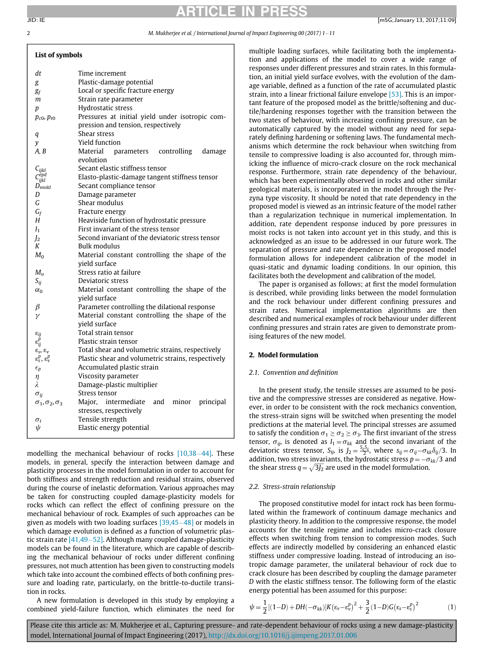List of symbols

## ARTICLE IN PRESS

#### 2 M. Mukherjee et al. / International Journal of Impact Engineering 00 (2017) 1–11

| ым от зушоот                                                |                                                    |
|-------------------------------------------------------------|----------------------------------------------------|
| dt                                                          | Time increment                                     |
| g                                                           | Plastic-damage potential                           |
| g <sub>f</sub>                                              | Local or specific fracture energy                  |
| m                                                           | Strain rate parameter                              |
| p                                                           | Hydrostatic stress                                 |
| $p_{c0}$ , $p_{t0}$                                         | Pressures at initial yield under isotropic com-    |
|                                                             | pression and tension, respectively                 |
| q                                                           | Shear stress                                       |
| y                                                           | <b>Yield function</b>                              |
| A, B                                                        | Material parameters controlling<br>damage          |
|                                                             | evolution                                          |
|                                                             | Secant elastic stiffness tensor                    |
|                                                             | Elasto-plastic-damage tangent stiffness tensor     |
| $\frac{C_{ijkl}}{C_{ijkl}^{epd}} \frac{C_{ijkl}}{D_{mnkl}}$ | Secant compliance tensor                           |
| D                                                           | Damage parameter                                   |
| G                                                           | Shear modulus                                      |
| $G_f$                                                       | Fracture energy                                    |
| Н                                                           | Heaviside function of hydrostatic pressure         |
| I <sub>1</sub>                                              | First invariant of the stress tensor               |
| $\mathbf{I}_2$                                              | Second invariant of the deviatoric stress tensor   |
| Κ                                                           | Bulk modulus                                       |
| $M_0$                                                       | Material constant controlling the shape of the     |
|                                                             | vield surface                                      |
| $M_u$                                                       | Stress ratio at failure                            |
| $S_{ij}$                                                    | Deviatoric stress                                  |
| $\alpha_0$                                                  | Material constant controlling the shape of the     |
|                                                             | vield surface                                      |
| β                                                           | Parameter controlling the dilational response      |
| γ                                                           | Material constant controlling the shape of the     |
|                                                             | yield surface                                      |
| $\varepsilon_{ij}$                                          | Total strain tensor                                |
| $\varepsilon_{ii}^{\bar{p}}$                                | Plastic strain tensor                              |
| $ε_s$ , ε <sub>ν</sub>                                      | Total shear and volumetric strains, respectively   |
| $\varepsilon_{s}^{p}, \varepsilon_{v}^{p}$                  | Plastic shear and volumetric strains, respectively |
| $\epsilon_p$                                                | Accumulated plastic strain                         |
| η                                                           | Viscosity parameter                                |
| λ                                                           | Damage-plastic multiplier                          |
| $\sigma_{ii}$                                               | Stress tensor                                      |
| $\sigma_1,\sigma_2,\sigma_3$                                | Major, intermediate<br>and minor<br>principal      |
|                                                             | stresses, respectively<br>Tensile strength         |
| $\sigma_t$<br>$\psi$                                        | Elastic energy potential                           |
|                                                             |                                                    |

modelling the mechanical behaviour of rocks  $[10,38-44]$  $[10,38-44]$ . These models, in general, specify the interaction between damage and plasticity processes in the model formulation in order to account for both stiffness and strength reduction and residual strains, observed during the course of inelastic deformation. Various approaches may be taken for constructing coupled damage-plasticity models for rocks which can reflect the effect of confining pressure on the mechanical behaviour of rock. Examples of such approaches can be given as models with two loading surfaces  $[39,45-48]$  $[39,45-48]$  or models in which damage evolution is defined as a function of volumetric plastic strain rate  $[41,49-52]$  $[41,49-52]$ . Although many coupled damage-plasticity models can be found in the literature, which are capable of describing the mechanical behaviour of rocks under different confining pressures, not much attention has been given to constructing models which take into account the combined effects of both confining pressure and loading rate, particularly, on the brittle-to-ductile transition in rocks.

A new formulation is developed in this study by employing a combined yield-failure function, which eliminates the need for

multiple loading surfaces, while facilitating both the implementation and applications of the model to cover a wide range of responses under different pressures and strain rates. In this formulation, an initial yield surface evolves, with the evolution of the damage variable, defined as a function of the rate of accumulated plastic strain, into a linear frictional failure envelope [\[53\]](#page--1-10). This is an important feature of the proposed model as the brittle/softening and ductile/hardening responses together with the transition between the two states of behaviour, with increasing confining pressure, can be automatically captured by the model without any need for separately defining hardening or softening laws. The fundamental mechanisms which determine the rock behaviour when switching from tensile to compressive loading is also accounted for, through mimicking the influence of micro-crack closure on the rock mechanical response. Furthermore, strain rate dependency of the behaviour, which has been experimentally observed in rocks and other similar geological materials, is incorporated in the model through the Perzyna type viscosity. It should be noted that rate dependency in the proposed model is viewed as an intrinsic feature of the model rather than a regularization technique in numerical implementation. In addition, rate dependent response induced by pore pressures in moist rocks is not taken into account yet in this study, and this is acknowledged as an issue to be addressed in our future work. The separation of pressure and rate dependence in the proposed model formulation allows for independent calibration of the model in quasi-static and dynamic loading conditions. In our opinion, this facilitates both the development and calibration of the model.

The paper is organised as follows; at first the model formulation is described, while providing links between the model formulation and the rock behaviour under different confining pressures and strain rates. Numerical implementation algorithms are then described and numerical examples of rock behaviour under different confining pressures and strain rates are given to demonstrate promising features of the new model.

### 2. Model formulation

#### 2.1. Convention and definition

In the present study, the tensile stresses are assumed to be positive and the compressive stresses are considered as negative. However, in order to be consistent with the rock mechanics convention, the stress-strain signs will be switched when presenting the model predictions at the material level. The principal stresses are assumed to satisfy the condition  $\sigma_1 \geq \sigma_2 \geq \sigma_3$ . The first invariant of the stress tensor,  $\sigma_{ij}$ , is denoted as  $I_1 = \sigma_{kk}$  and the second invariant of the deviatoric stress tensor,  $S_{ij}$ , is  $J_2 = \frac{S_{ij}S_{ij}}{2}$ , where  $s_{ij} = \sigma_{ij} - \sigma_{kk}\delta_{ij}/3$ . In addition, two stress invariants, the hydrostatic stress  $p = -\sigma_{kk}/3$  and the shear stress  $q = \sqrt{3J_2}$  are used in the model formulation.

#### 2.2. Stress-strain relationship

The proposed constitutive model for intact rock has been formulated within the framework of continuum damage mechanics and plasticity theory. In addition to the compressive response, the model accounts for the tensile regime and includes micro-crack closure effects when switching from tension to compression modes. Such effects are indirectly modelled by considering an enhanced elastic stiffness under compressive loading. Instead of introducing an isotropic damage parameter, the unilateral behaviour of rock due to crack closure has been described by coupling the damage parameter D with the elastic stiffness tensor. The following form of the elastic energy potential has been assumed for this purpose:

$$
\psi = \frac{1}{2}[(1-D) + DH(-\sigma_{kk})]K(\varepsilon_v - \varepsilon_v^p)^2 + \frac{3}{2}(1-D)G(\varepsilon_s - \varepsilon_s^p)^2 \tag{1}
$$

Please cite this article as: M. Mukherjee et al., Capturing pressure- and rate-dependent behaviour of rocks using a new damage-plasticity model, International Journal of Impact Engineering (2017), <http://dx.doi.org/10.1016/j.ijimpeng.2017.01.006>